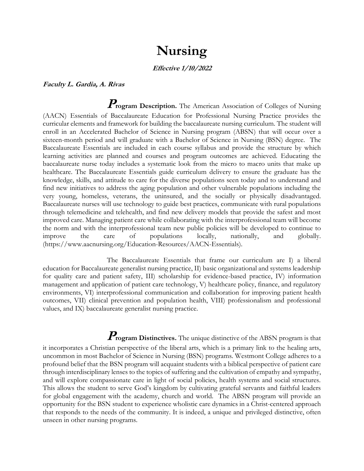# **Nursing**

### **Effective 1/10/2022**

#### **Faculty L. Gardia, A. Rivas**

**Program Description.** The American Association of Colleges of Nursing (AACN) Essentials of Baccalaureate Education for Professional Nursing Practice provides the curricular elements and framework for building the baccalaureate nursing curriculum. The student will enroll in an Accelerated Bachelor of Science in Nursing program (ABSN) that will occur over a sixteen-month period and will graduate with a Bachelor of Science in Nursing (BSN) degree. The Baccalaureate Essentials are included in each course syllabus and provide the structure by which learning activities are planned and courses and program outcomes are achieved. Educating the baccalaureate nurse today includes a systematic look from the micro to macro units that make up healthcare. The Baccalaureate Essentials guide curriculum delivery to ensure the graduate has the knowledge, skills, and attitude to care for the diverse populations seen today and to understand and find new initiatives to address the aging population and other vulnerable populations including the very young, homeless, veterans, the uninsured, and the socially or physically disadvantaged. Baccalaureate nurses will use technology to guide best practices, communicate with rural populations through telemedicine and telehealth, and find new delivery models that provide the safest and most improved care. Managing patient care while collaborating with the interprofessional team will become the norm and with the interprofessional team new public policies will be developed to continue to improve the care of populations locally, nationally, and globally. (https://www.aacnursing.org/Education-Resources/AACN-Essentials).

The Baccalaureate Essentials that frame our curriculum are I) a liberal education for Baccalaureate generalist nursing practice, II) basic organizational and systems leadership for quality care and patient safety, III) scholarship for evidence-based practice, IV) information management and application of patient care technology, V) healthcare policy, finance, and regulatory environments, VI) interprofessional communication and collaboration for improving patient health outcomes, VII) clinical prevention and population health, VIII) professionalism and professional values, and IX) baccalaureate generalist nursing practice.

# **Program Distinctives.** The unique distinctive of the ABSN program is that

it incorporates a Christian perspective of the liberal arts, which is a primary link to the healing arts, uncommon in most Bachelor of Science in Nursing (BSN) programs. Westmont College adheres to a profound belief that the BSN program will acquaint students with a biblical perspective of patient care through interdisciplinary lenses to the topics of suffering and the cultivation of empathy and sympathy, and will explore compassionate care in light of social policies, health systems and social structures. This allows the student to serve God's kingdom by cultivating grateful servants and faithful leaders for global engagement with the academy, church and world. The ABSN program will provide an opportunity for the BSN student to experience wholistic care dynamics in a Christ-centered approach that responds to the needs of the community. It is indeed, a unique and privileged distinctive, often unseen in other nursing programs.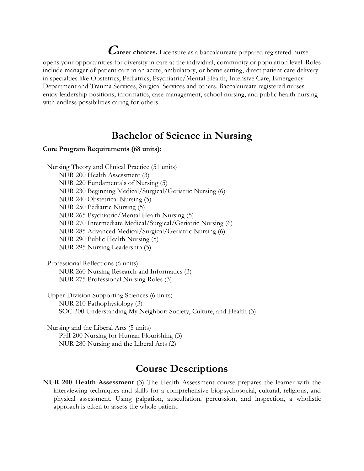**Career choices.** Licensure as a baccalaureate prepared registered nurse opens your opportunities for diversity in care at the individual, community or population level. Roles include manager of patient care in an acute, ambulatory, or home setting, direct patient care delivery in specialties like Obstetrics, Pediatrics, Psychiatric/Mental Health, Intensive Care, Emergency Department and Trauma Services, Surgical Services and others. Baccalaureate registered nurses enjoy leadership positions, informatics, case management, school nursing, and public health nursing with endless possibilities caring for others.

## **Bachelor of Science in Nursing**

### **Core Program Requirements (68 units):**

Nursing Theory and Clinical Practice (51 units) NUR 200 Health Assessment (3) NUR 220 Fundamentals of Nursing (5) NUR 230 Beginning Medical/Surgical/Geriatric Nursing (6) NUR 240 Obstetrical Nursing (5) NUR 250 Pediatric Nursing (5) NUR 265 Psychiatric/Mental Health Nursing (5) NUR 270 Intermediate Medical/Surgical/Geriatric Nursing (6) NUR 285 Advanced Medical/Surgical/Geriatric Nursing (6) NUR 290 Public Health Nursing (5) NUR 295 Nursing Leadership (5)

Professional Reflections (6 units) NUR 260 Nursing Research and Informatics (3) NUR 275 Professional Nursing Roles (3)

Upper-Division Supporting Sciences (6 units) NUR 210 Pathophysiology (3) SOC 200 Understanding My Neighbor: Society, Culture, and Health (3)

Nursing and the Liberal Arts (5 units) PHI 200 Nursing for Human Flourishing (3) NUR 280 Nursing and the Liberal Arts (2)

### **Course Descriptions**

**NUR 200 Health Assessment** (3) The Health Assessment course prepares the learner with the interviewing techniques and skills for a comprehensive biopsychosocial, cultural, religious, and physical assessment. Using palpation, auscultation, percussion, and inspection, a wholistic approach is taken to assess the whole patient.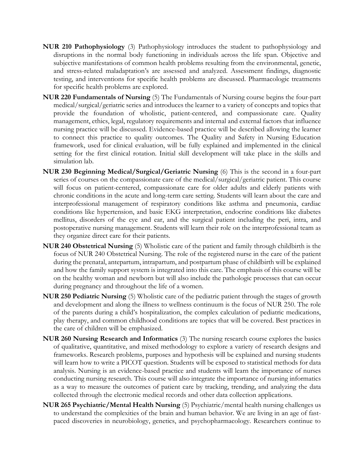- **NUR 210 Pathophysiology** (3) Pathophysiology introduces the student to pathophysiology and disruptions in the normal body functioning in individuals across the life span. Objective and subjective manifestations of common health problems resulting from the environmental, genetic, and stress-related maladaptation's are assessed and analyzed. Assessment findings, diagnostic testing, and interventions for specific health problems are discussed. Pharmacologic treatments for specific health problems are explored.
- **NUR 220 Fundamentals of Nursing** (5) The Fundamentals of Nursing course begins the four-part medical/surgical/geriatric series and introduces the learner to a variety of concepts and topics that provide the foundation of wholistic, patient-centered, and compassionate care. Quality management, ethics, legal, regulatory requirements and internal and external factors that influence nursing practice will be discussed. Evidence-based practice will be described allowing the learner to connect this practice to quality outcomes. The Quality and Safety in Nursing Education framework, used for clinical evaluation, will be fully explained and implemented in the clinical setting for the first clinical rotation. Initial skill development will take place in the skills and simulation lab.
- **NUR 230 Beginning Medical/Surgical/Geriatric Nursing** (6) This is the second in a four-part series of courses on the compassionate care of the medical/surgical/geriatric patient. This course will focus on patient-centered, compassionate care for older adults and elderly patients with chronic conditions in the acute and long-term care setting. Students will learn about the care and interprofessional management of respiratory conditions like asthma and pneumonia, cardiac conditions like hypertension, and basic EKG interpretation, endocrine conditions like diabetes mellitus, disorders of the eye and ear, and the surgical patient including the peri, intra, and postoperative nursing management. Students will learn their role on the interprofessional team as they organize direct care for their patients.
- **NUR 240 Obstetrical Nursing** (5) Wholistic care of the patient and family through childbirth is the focus of NUR 240 Obstetrical Nursing. The role of the registered nurse in the care of the patient during the prenatal, antepartum, intrapartum, and postpartum phase of childbirth will be explained and how the family support system is integrated into this care. The emphasis of this course will be on the healthy woman and newborn but will also include the pathologic processes that can occur during pregnancy and throughout the life of a women.
- **NUR 250 Pediatric Nursing** (5) Wholistic care of the pediatric patient through the stages of growth and development and along the illness to wellness continuum is the focus of NUR 250. The role of the parents during a child's hospitalization, the complex calculation of pediatric medications, play therapy, and common childhood conditions are topics that will be covered. Best practices in the care of children will be emphasized.
- **NUR 260 Nursing Research and Informatics** (3) The nursing research course explores the basics of qualitative, quantitative, and mixed methodology to explore a variety of research designs and frameworks. Research problems, purposes and hypothesis will be explained and nursing students will learn how to write a PICOT question. Students will be exposed to statistical methods for data analysis. Nursing is an evidence-based practice and students will learn the importance of nurses conducting nursing research. This course will also integrate the importance of nursing informatics as a way to measure the outcomes of patient care by tracking, trending, and analyzing the data collected through the electronic medical records and other data collection applications.
- **NUR 265 Psychiatric/Mental Health Nursing** (5) Psychiatric/mental health nursing challenges us to understand the complexities of the brain and human behavior. We are living in an age of fastpaced discoveries in neurobiology, genetics, and psychopharmacology. Researchers continue to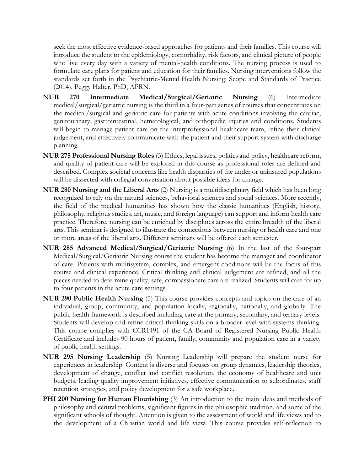seek the most effective evidence-based approaches for patients and their families. This course will introduce the student to the epidemiology, comorbidity, risk factors, and clinical picture of people who live every day with a variety of mental-health conditions. The nursing process is used to formulate care plans for patient and education for their families. Nursing interventions follow the standards set forth in the Psychiatric-Mental Health Nursing: Scope and Standards of Practice (2014). Peggy Halter, PhD, APRN.

- **NUR 270 Intermediate Medical/Surgical/Geriatric Nursing** (6) Intermediate medical/surgical/geriatric nursing is the third in a four-part series of courses that concentrates on the medical/surgical and geriatric care for patients with acute conditions involving the cardiac, genitourinary, gastrointestinal, hematological, and orthopedic injuries and conditions. Students will begin to manage patient care on the interprofessional healthcare team, refine their clinical judgement, and effectively communicate with the patient and their support system with discharge planning.
- **NUR 275 Professional Nursing Roles** (3) Ethics, legal issues, politics and policy, healthcare reform, and quality of patient care will be explored in this course as professional roles are defined and described. Complex societal concerns like health disparities of the under or uninsured populations will be dissected with collegial conversation about possible ideas for change.
- **NUR 280 Nursing and the Liberal Arts** (2) Nursing is a multidisciplinary field which has been long recognized to rely on the natural sciences, behavioral sciences and social sciences. More recently, the field of the medical humanities has shown how the classic humanities (English, history, philosophy, religious studies, art, music, and foreign language) can support and inform health care practice. Therefore, nursing can be enriched by disciplines across the entire breadth of the liberal arts. This seminar is designed to illustrate the connections between nursing or health care and one or more areas of the liberal arts. Different seminars will be offered each semester.
- **NUR 285 Advanced Medical/Surgical/Geriatric Nursing** (6) In the last of the four-part Medical/Surgical/Geriatric Nursing course the student has become the manager and coordinator of care. Patients with multisystem, complex, and emergent conditions will be the focus of this course and clinical experience. Critical thinking and clinical judgement are refined, and all the pieces needed to determine quality, safe, compassionate care are realized. Students will care for up to four patients in the acute care settings.
- **NUR 290 Public Health Nursing** (5) This course provides concepts and topics on the care of an individual, group, community, and population locally, regionally, nationally, and globally. The public health framework is described including care at the primary, secondary, and tertiary levels. Students will develop and refine critical thinking skills on a broader level with systems thinking. This course complies with CCR1491 of the CA Board of Registered Nursing Public Health Certificate and includes 90 hours of patient, family, community and population care in a variety of public health settings.
- **NUR 295 Nursing Leadership** (5) Nursing Leadership will prepare the student nurse for experiences in leadership. Content is diverse and focuses on group dynamics, leadership theories, development of change, conflict and conflict resolution, the economy of healthcare and unit budgets, leading quality improvement initiatives, effective communication to subordinates, staff retention strategies, and policy development for a safe workplace.
- **PHI 200 Nursing for Human Flourishing** (3) An introduction to the main ideas and methods of philosophy and central problems, significant figures in the philosophic tradition, and some of the significant schools of thought. Attention is given to the assessment of world and life views and to the development of a Christian world and life view. This course provides self-reflection to